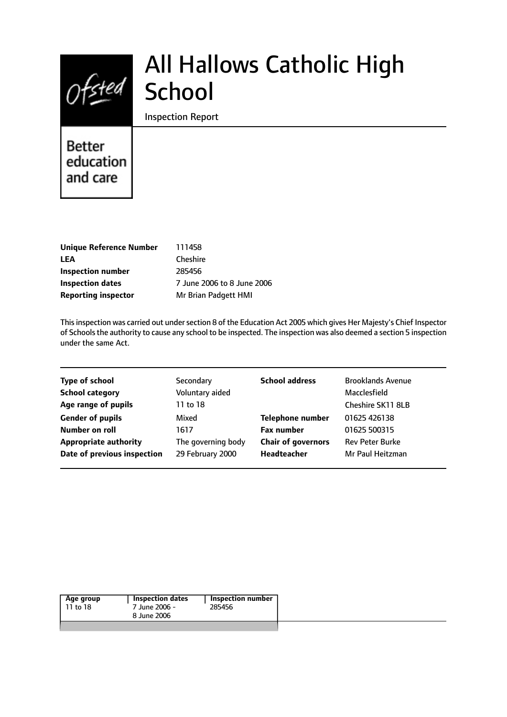# $Of$ sted

## All Hallows Catholic High School

Inspection Report

## Better education and care

| <b>Unique Reference Number</b> |
|--------------------------------|
| <b>LEA</b>                     |
| Inspection number              |
| <b>Inspection dates</b>        |
| <b>Reporting inspector</b>     |

**Unique Reference Number** 111458 **Cheshire Inspection number** 285456 **Inspection dates** 7 June 2006 to 8 June 2006 **Mr Brian Padgett HMI** 

This inspection was carried out under section 8 of the Education Act 2005 which gives Her Majesty's Chief Inspector of Schools the authority to cause any school to be inspected. The inspection was also deemed a section 5 inspection under the same Act.

| <b>Type of school</b>        | Secondary          | <b>School address</b>     | <b>Brooklands Avenue</b> |
|------------------------------|--------------------|---------------------------|--------------------------|
| <b>School category</b>       | Voluntary aided    |                           | Macclesfield             |
| Age range of pupils          | 11 to 18           |                           | Cheshire SK11 8LB        |
| <b>Gender of pupils</b>      | Mixed              | <b>Telephone number</b>   | 01625 426138             |
| Number on roll               | 1617               | <b>Fax number</b>         | 01625 500315             |
| <b>Appropriate authority</b> | The governing body | <b>Chair of governors</b> | <b>Rev Peter Burke</b>   |
| Date of previous inspection  | 29 February 2000   | Headteacher               | Mr Paul Heitzman         |
|                              |                    |                           |                          |

| Age group | Inspection dates | Inspection number |
|-----------|------------------|-------------------|
| 11 to 18  | 7 June 2006 -    | 285456            |
|           | 8 June 2006      |                   |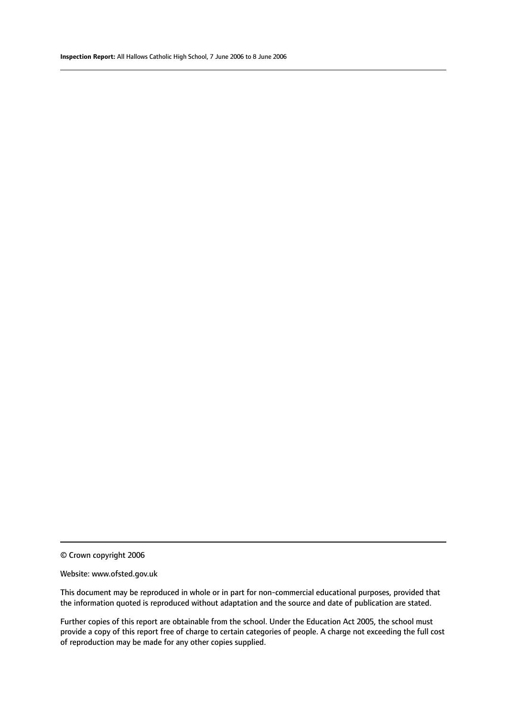© Crown copyright 2006

#### Website: www.ofsted.gov.uk

This document may be reproduced in whole or in part for non-commercial educational purposes, provided that the information quoted is reproduced without adaptation and the source and date of publication are stated.

Further copies of this report are obtainable from the school. Under the Education Act 2005, the school must provide a copy of this report free of charge to certain categories of people. A charge not exceeding the full cost of reproduction may be made for any other copies supplied.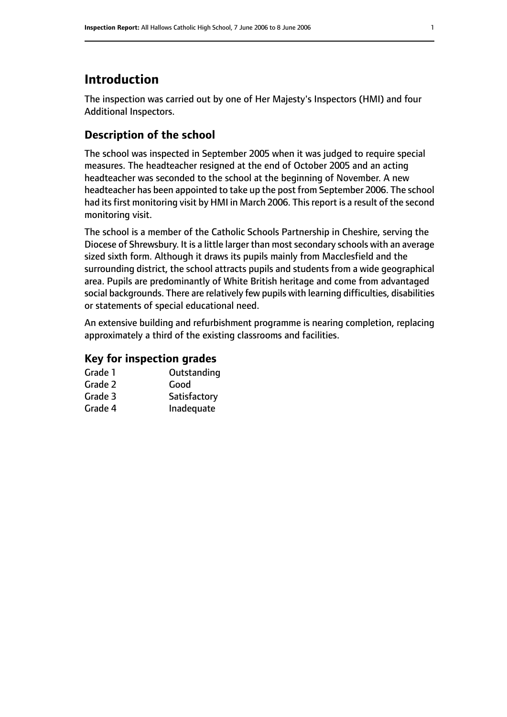#### **Introduction**

The inspection was carried out by one of Her Majesty's Inspectors (HMI) and four Additional Inspectors.

#### **Description of the school**

The school was inspected in September 2005 when it was judged to require special measures. The headteacher resigned at the end of October 2005 and an acting headteacher was seconded to the school at the beginning of November. A new headteacher has been appointed to take up the post from September 2006. The school had its first monitoring visit by HMI in March 2006. This report is a result of the second monitoring visit.

The school is a member of the Catholic Schools Partnership in Cheshire, serving the Diocese of Shrewsbury. It is a little larger than most secondary schools with an average sized sixth form. Although it draws its pupils mainly from Macclesfield and the surrounding district, the school attracts pupils and students from a wide geographical area. Pupils are predominantly of White British heritage and come from advantaged social backgrounds. There are relatively few pupils with learning difficulties, disabilities or statements of special educational need.

An extensive building and refurbishment programme is nearing completion, replacing approximately a third of the existing classrooms and facilities.

#### **Key for inspection grades**

| Grade 1 | Outstanding  |
|---------|--------------|
| Grade 2 | Good         |
| Grade 3 | Satisfactory |
| Grade 4 | Inadequate   |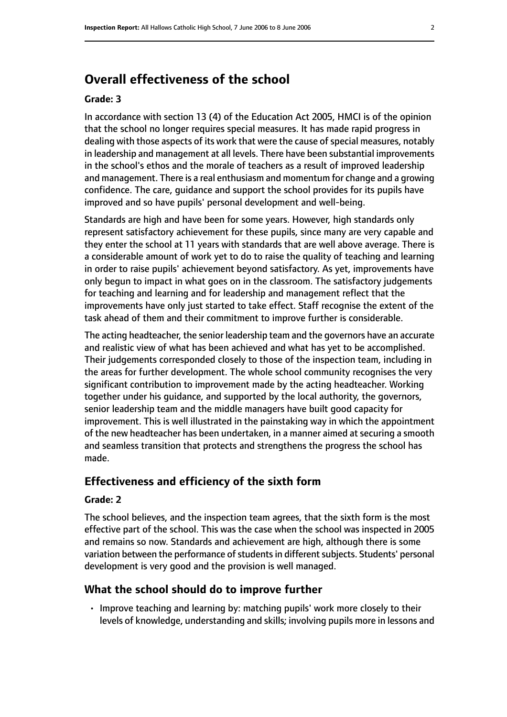#### **Overall effectiveness of the school**

#### **Grade: 3**

In accordance with section 13 (4) of the Education Act 2005, HMCI is of the opinion that the school no longer requires special measures. It has made rapid progress in dealing with those aspects of its work that were the cause of special measures, notably in leadership and management at all levels. There have been substantial improvements in the school's ethos and the morale of teachers as a result of improved leadership and management. There is a real enthusiasm and momentum for change and a growing confidence. The care, guidance and support the school provides for its pupils have improved and so have pupils' personal development and well-being.

Standards are high and have been for some years. However, high standards only represent satisfactory achievement for these pupils, since many are very capable and they enter the school at 11 years with standards that are well above average. There is a considerable amount of work yet to do to raise the quality of teaching and learning in order to raise pupils' achievement beyond satisfactory. As yet, improvements have only begun to impact in what goes on in the classroom. The satisfactory judgements for teaching and learning and for leadership and management reflect that the improvements have only just started to take effect. Staff recognise the extent of the task ahead of them and their commitment to improve further is considerable.

The acting headteacher, the senior leadership team and the governors have an accurate and realistic view of what has been achieved and what has yet to be accomplished. Their judgements corresponded closely to those of the inspection team, including in the areas for further development. The whole school community recognises the very significant contribution to improvement made by the acting headteacher. Working together under his guidance, and supported by the local authority, the governors, senior leadership team and the middle managers have built good capacity for improvement. This is well illustrated in the painstaking way in which the appointment of the new headteacher has been undertaken, in a manner aimed at securing a smooth and seamless transition that protects and strengthens the progress the school has made.

#### **Effectiveness and efficiency of the sixth form**

#### **Grade: 2**

The school believes, and the inspection team agrees, that the sixth form is the most effective part of the school. This was the case when the school was inspected in 2005 and remains so now. Standards and achievement are high, although there is some variation between the performance of students in different subjects. Students' personal development is very good and the provision is well managed.

#### **What the school should do to improve further**

• Improve teaching and learning by: matching pupils' work more closely to their levels of knowledge, understanding and skills; involving pupils more in lessons and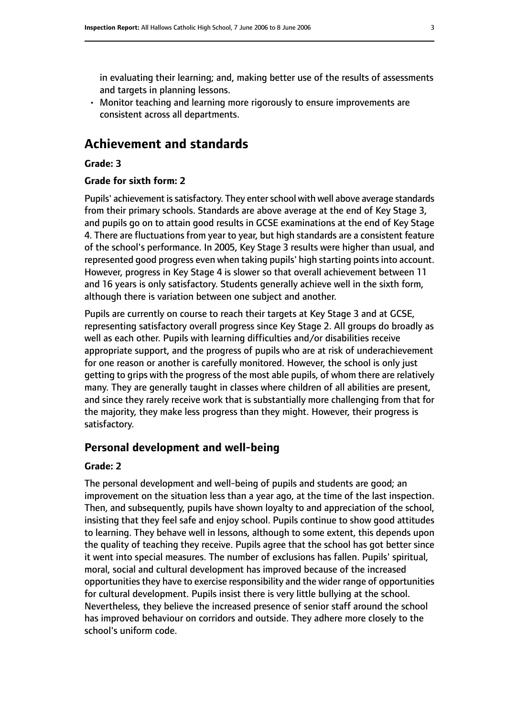in evaluating their learning; and, making better use of the results of assessments and targets in planning lessons.

• Monitor teaching and learning more rigorously to ensure improvements are consistent across all departments.

#### **Achievement and standards**

#### **Grade: 3**

#### **Grade for sixth form: 2**

Pupils' achievement is satisfactory. They enter school with well above average standards from their primary schools. Standards are above average at the end of Key Stage 3, and pupils go on to attain good results in GCSE examinations at the end of Key Stage 4. There are fluctuations from year to year, but high standards are a consistent feature of the school's performance. In 2005, Key Stage 3 results were higher than usual, and represented good progress even when taking pupils' high starting points into account. However, progress in Key Stage 4 is slower so that overall achievement between 11 and 16 years is only satisfactory. Students generally achieve well in the sixth form, although there is variation between one subject and another.

Pupils are currently on course to reach their targets at Key Stage 3 and at GCSE, representing satisfactory overall progress since Key Stage 2. All groups do broadly as well as each other. Pupils with learning difficulties and/or disabilities receive appropriate support, and the progress of pupils who are at risk of underachievement for one reason or another is carefully monitored. However, the school is only just getting to grips with the progress of the most able pupils, of whom there are relatively many. They are generally taught in classes where children of all abilities are present, and since they rarely receive work that is substantially more challenging from that for the majority, they make less progress than they might. However, their progress is satisfactory.

#### **Personal development and well-being**

#### **Grade: 2**

The personal development and well-being of pupils and students are good; an improvement on the situation less than a year ago, at the time of the last inspection. Then, and subsequently, pupils have shown loyalty to and appreciation of the school, insisting that they feel safe and enjoy school. Pupils continue to show good attitudes to learning. They behave well in lessons, although to some extent, this depends upon the quality of teaching they receive. Pupils agree that the school has got better since it went into special measures. The number of exclusions has fallen. Pupils' spiritual, moral, social and cultural development has improved because of the increased opportunities they have to exercise responsibility and the wider range of opportunities for cultural development. Pupils insist there is very little bullying at the school. Nevertheless, they believe the increased presence of senior staff around the school has improved behaviour on corridors and outside. They adhere more closely to the school's uniform code.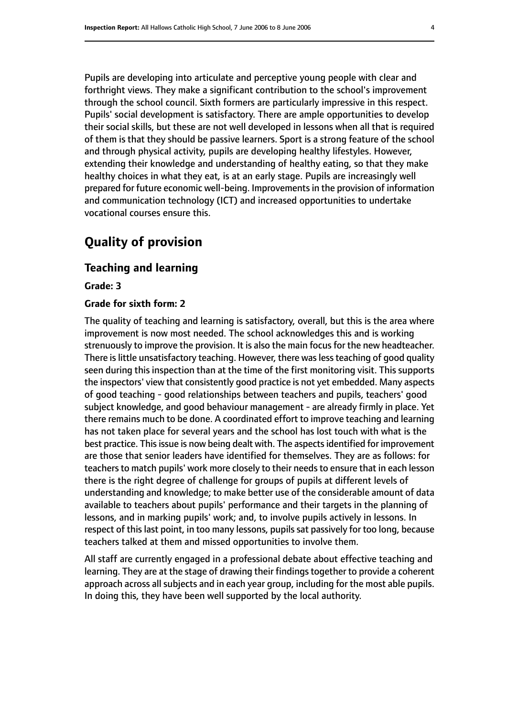Pupils are developing into articulate and perceptive young people with clear and forthright views. They make a significant contribution to the school's improvement through the school council. Sixth formers are particularly impressive in this respect. Pupils' social development is satisfactory. There are ample opportunities to develop their social skills, but these are not well developed in lessons when all that is required of them is that they should be passive learners. Sport is a strong feature of the school and through physical activity, pupils are developing healthy lifestyles. However, extending their knowledge and understanding of healthy eating, so that they make healthy choices in what they eat, is at an early stage. Pupils are increasingly well prepared for future economic well-being. Improvementsin the provision of information and communication technology (ICT) and increased opportunities to undertake vocational courses ensure this.

### **Quality of provision**

#### **Teaching and learning**

**Grade: 3**

#### **Grade for sixth form: 2**

The quality of teaching and learning is satisfactory, overall, but this is the area where improvement is now most needed. The school acknowledges this and is working strenuously to improve the provision. It is also the main focus for the new headteacher. There is little unsatisfactory teaching. However, there was less teaching of good quality seen during this inspection than at the time of the first monitoring visit. This supports the inspectors' view that consistently good practice is not yet embedded. Many aspects of good teaching - good relationships between teachers and pupils, teachers' good subject knowledge, and good behaviour management - are already firmly in place. Yet there remains much to be done. A coordinated effort to improve teaching and learning has not taken place for several years and the school has lost touch with what is the best practice. This issue is now being dealt with. The aspects identified for improvement are those that senior leaders have identified for themselves. They are as follows: for teachers to match pupils' work more closely to their needs to ensure that in each lesson there is the right degree of challenge for groups of pupils at different levels of understanding and knowledge; to make better use of the considerable amount of data available to teachers about pupils' performance and their targets in the planning of lessons, and in marking pupils' work; and, to involve pupils actively in lessons. In respect of this last point, in too many lessons, pupils sat passively for too long, because teachers talked at them and missed opportunities to involve them.

All staff are currently engaged in a professional debate about effective teaching and learning. They are at the stage of drawing their findings together to provide a coherent approach across all subjects and in each year group, including for the most able pupils. In doing this, they have been well supported by the local authority.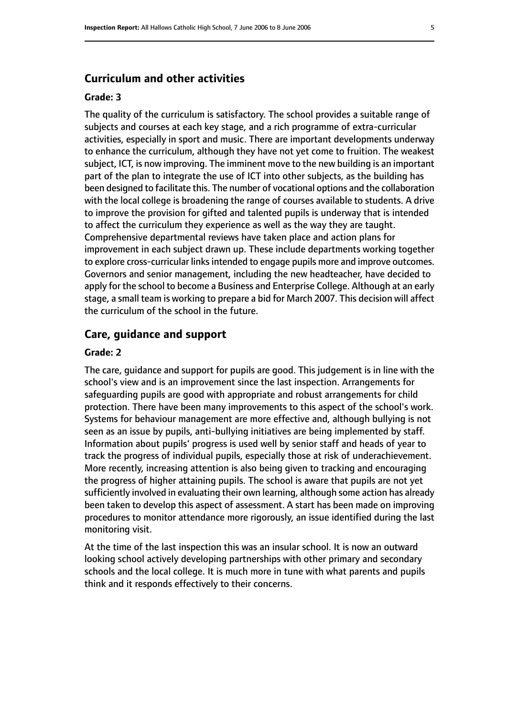#### **Curriculum and other activities**

#### **Grade: 3**

The quality of the curriculum is satisfactory. The school provides a suitable range of subjects and courses at each key stage, and a rich programme of extra-curricular activities, especially in sport and music. There are important developments underway to enhance the curriculum, although they have not yet come to fruition. The weakest subject, ICT, is now improving. The imminent move to the new building is an important part of the plan to integrate the use of ICT into other subjects, as the building has been designed to facilitate this. The number of vocational options and the collaboration with the local college is broadening the range of courses available to students. A drive to improve the provision for gifted and talented pupils is underway that is intended to affect the curriculum they experience as well as the way they are taught. Comprehensive departmental reviews have taken place and action plans for improvement in each subject drawn up. These include departments working together to explore cross-curricular links intended to engage pupils more and improve outcomes. Governors and senior management, including the new headteacher, have decided to apply for the school to become a Business and Enterprise College. Although at an early stage, a small team is working to prepare a bid for March 2007. This decision will affect the curriculum of the school in the future.

#### **Care, guidance and support**

#### **Grade: 2**

The care, guidance and support for pupils are good. This judgement is in line with the school's view and is an improvement since the last inspection. Arrangements for safeguarding pupils are good with appropriate and robust arrangements for child protection. There have been many improvements to this aspect of the school's work. Systems for behaviour management are more effective and, although bullying is not seen as an issue by pupils, anti-bullying initiatives are being implemented by staff. Information about pupils' progress is used well by senior staff and heads of year to track the progress of individual pupils, especially those at risk of underachievement. More recently, increasing attention is also being given to tracking and encouraging the progress of higher attaining pupils. The school is aware that pupils are not yet sufficiently involved in evaluating their own learning, although some action has already been taken to develop this aspect of assessment. A start has been made on improving procedures to monitor attendance more rigorously, an issue identified during the last monitoring visit.

At the time of the last inspection this was an insular school. It is now an outward looking school actively developing partnerships with other primary and secondary schools and the local college. It is much more in tune with what parents and pupils think and it responds effectively to their concerns.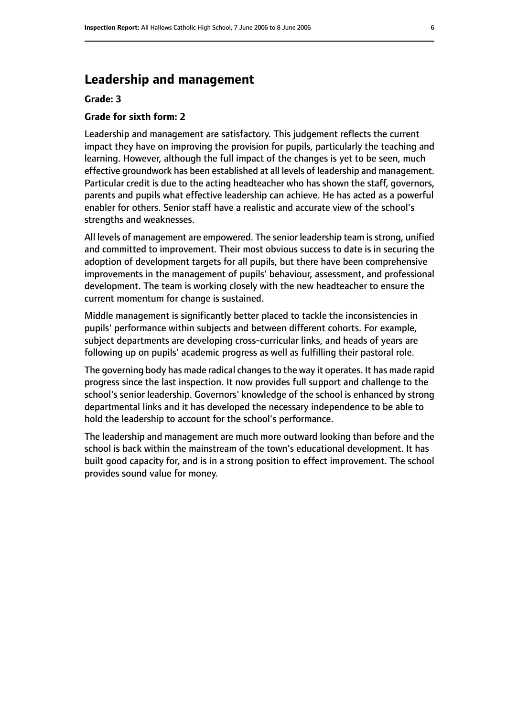#### **Leadership and management**

#### **Grade: 3**

#### **Grade for sixth form: 2**

Leadership and management are satisfactory. This judgement reflects the current impact they have on improving the provision for pupils, particularly the teaching and learning. However, although the full impact of the changes is yet to be seen, much effective groundwork has been established at all levels of leadership and management. Particular credit is due to the acting headteacher who has shown the staff, governors, parents and pupils what effective leadership can achieve. He has acted as a powerful enabler for others. Senior staff have a realistic and accurate view of the school's strengths and weaknesses.

All levels of management are empowered. The senior leadership team is strong, unified and committed to improvement. Their most obvious success to date is in securing the adoption of development targets for all pupils, but there have been comprehensive improvements in the management of pupils' behaviour, assessment, and professional development. The team is working closely with the new headteacher to ensure the current momentum for change is sustained.

Middle management is significantly better placed to tackle the inconsistencies in pupils' performance within subjects and between different cohorts. For example, subject departments are developing cross-curricular links, and heads of years are following up on pupils' academic progress as well as fulfilling their pastoral role.

The governing body has made radical changes to the way it operates. It has made rapid progress since the last inspection. It now provides full support and challenge to the school's senior leadership. Governors' knowledge of the school is enhanced by strong departmental links and it has developed the necessary independence to be able to hold the leadership to account for the school's performance.

The leadership and management are much more outward looking than before and the school is back within the mainstream of the town's educational development. It has built good capacity for, and is in a strong position to effect improvement. The school provides sound value for money.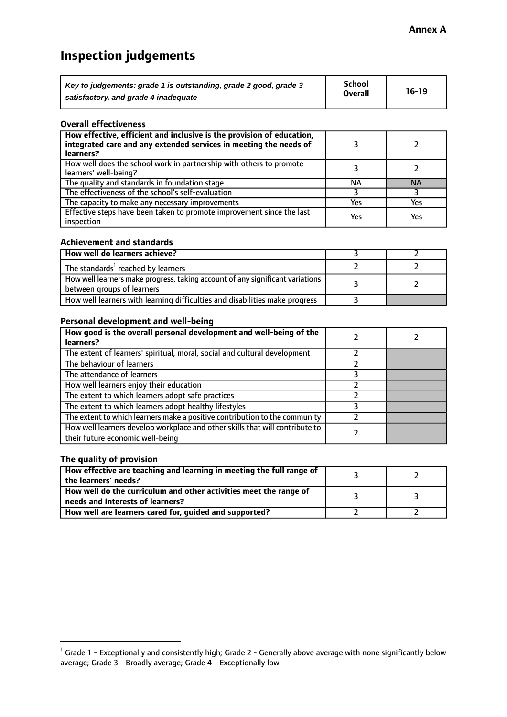## **Inspection judgements**

| Key to judgements: grade 1 is outstanding, grade 2 good, grade 3 | <b>School</b>  | $16-19$ |
|------------------------------------------------------------------|----------------|---------|
| satisfactory, and grade 4 inadequate                             | <b>Overall</b> |         |

#### **Overall effectiveness**

| How effective, efficient and inclusive is the provision of education,<br>integrated care and any extended services in meeting the needs of<br>learners? |     |           |
|---------------------------------------------------------------------------------------------------------------------------------------------------------|-----|-----------|
| How well does the school work in partnership with others to promote<br>learners' well-being?                                                            |     |           |
| The quality and standards in foundation stage                                                                                                           | ΝA  | <b>NA</b> |
| The effectiveness of the school's self-evaluation                                                                                                       |     |           |
| The capacity to make any necessary improvements                                                                                                         | Yes | Yes       |
| Effective steps have been taken to promote improvement since the last<br>inspection                                                                     | Yes | Yes       |

#### **Achievement and standards**

| How well do learners achieve?                                                                               |  |
|-------------------------------------------------------------------------------------------------------------|--|
| The standards <sup>1</sup> reached by learners                                                              |  |
| How well learners make progress, taking account of any significant variations<br>between groups of learners |  |
| How well learners with learning difficulties and disabilities make progress                                 |  |

#### **Personal development and well-being**

| How good is the overall personal development and well-being of the<br>learners?                                  |  |
|------------------------------------------------------------------------------------------------------------------|--|
| The extent of learners' spiritual, moral, social and cultural development                                        |  |
| The behaviour of learners                                                                                        |  |
| The attendance of learners                                                                                       |  |
| How well learners enjoy their education                                                                          |  |
| The extent to which learners adopt safe practices                                                                |  |
| The extent to which learners adopt healthy lifestyles                                                            |  |
| The extent to which learners make a positive contribution to the community                                       |  |
| How well learners develop workplace and other skills that will contribute to<br>their future economic well-being |  |

#### **The quality of provision**

| How effective are teaching and learning in meeting the full range of<br>the learners' needs?          |  |
|-------------------------------------------------------------------------------------------------------|--|
| How well do the curriculum and other activities meet the range of<br>needs and interests of learners? |  |
| How well are learners cared for, guided and supported?                                                |  |

 $^1$  Grade 1 - Exceptionally and consistently high; Grade 2 - Generally above average with none significantly below average; Grade 3 - Broadly average; Grade 4 - Exceptionally low.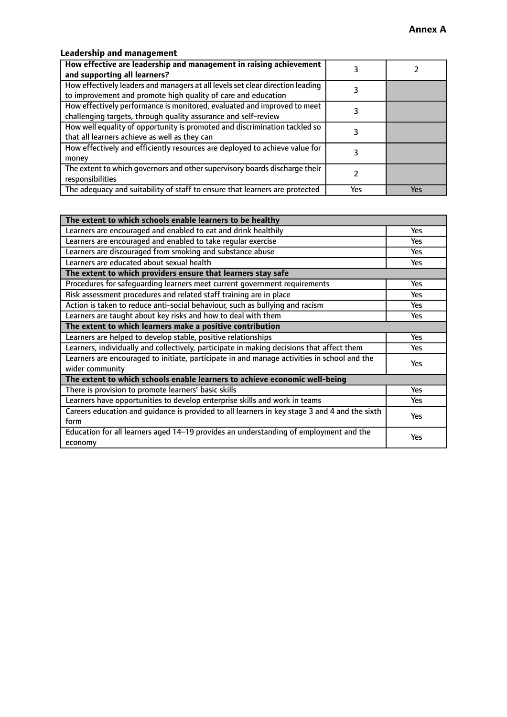#### **Leadership and management**

| How effective are leadership and management in raising achievement<br>and supporting all learners?                                              |     |     |
|-------------------------------------------------------------------------------------------------------------------------------------------------|-----|-----|
| How effectively leaders and managers at all levels set clear direction leading<br>to improvement and promote high quality of care and education |     |     |
| How effectively performance is monitored, evaluated and improved to meet<br>challenging targets, through quality assurance and self-review      |     |     |
| How well equality of opportunity is promoted and discrimination tackled so<br>that all learners achieve as well as they can                     |     |     |
| How effectively and efficiently resources are deployed to achieve value for<br>money                                                            |     |     |
| The extent to which governors and other supervisory boards discharge their<br>responsibilities                                                  |     |     |
| The adequacy and suitability of staff to ensure that learners are protected                                                                     | Yes | Yes |

| The extent to which schools enable learners to be healthy                                     |            |  |
|-----------------------------------------------------------------------------------------------|------------|--|
| Learners are encouraged and enabled to eat and drink healthily                                | Yes        |  |
| Learners are encouraged and enabled to take regular exercise                                  | Yes        |  |
| Learners are discouraged from smoking and substance abuse                                     | <b>Yes</b> |  |
| Learners are educated about sexual health                                                     | Yes        |  |
| The extent to which providers ensure that learners stay safe                                  |            |  |
| Procedures for safequarding learners meet current government requirements                     | Yes        |  |
| Risk assessment procedures and related staff training are in place                            | Yes        |  |
| Action is taken to reduce anti-social behaviour, such as bullying and racism                  | <b>Yes</b> |  |
| Learners are taught about key risks and how to deal with them                                 | Yes        |  |
| The extent to which learners make a positive contribution                                     |            |  |
| Learners are helped to develop stable, positive relationships                                 | <b>Yes</b> |  |
| Learners, individually and collectively, participate in making decisions that affect them     | Yes        |  |
| Learners are encouraged to initiate, participate in and manage activities in school and the   |            |  |
| wider community                                                                               | <b>Yes</b> |  |
| The extent to which schools enable learners to achieve economic well-being                    |            |  |
| There is provision to promote learners' basic skills                                          | <b>Yes</b> |  |
| Learners have opportunities to develop enterprise skills and work in teams                    | Yes        |  |
| Careers education and quidance is provided to all learners in key stage 3 and 4 and the sixth | Yes        |  |
| form                                                                                          |            |  |
| Education for all learners aged 14-19 provides an understanding of employment and the         | Yes        |  |
| economy                                                                                       |            |  |